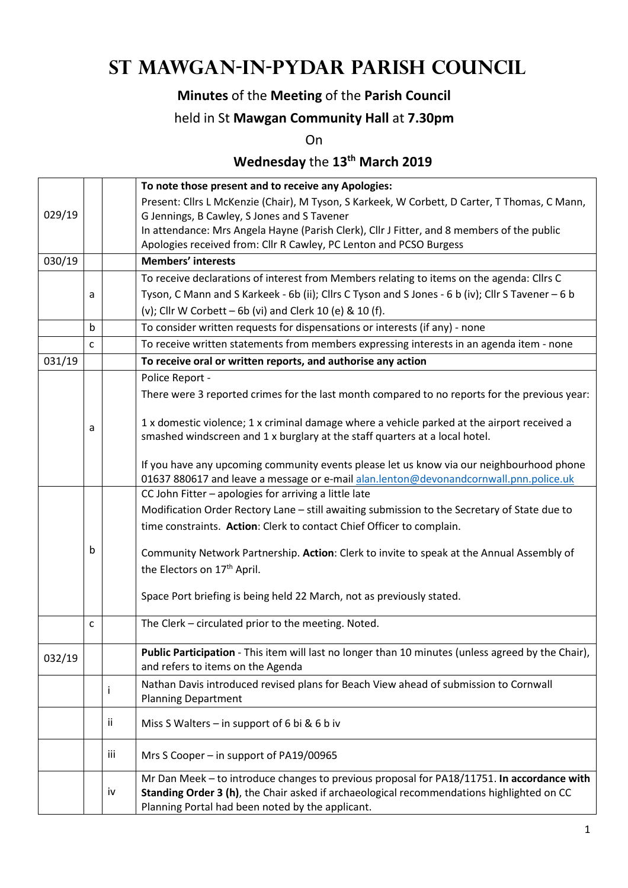# **St Mawgan-in-Pydar Parish Council**

### **Minutes** of the **Meeting** of the **Parish Council**

#### held in St **Mawgan Community Hall** at **7.30pm**

On

## **Wednesday** the **13th March 2019**

|                                                                        |                                                                                               |      | To note those present and to receive any Apologies:                                                                                                                               |  |  |  |
|------------------------------------------------------------------------|-----------------------------------------------------------------------------------------------|------|-----------------------------------------------------------------------------------------------------------------------------------------------------------------------------------|--|--|--|
|                                                                        |                                                                                               |      | Present: Cllrs L McKenzie (Chair), M Tyson, S Karkeek, W Corbett, D Carter, T Thomas, C Mann,                                                                                     |  |  |  |
| 029/19                                                                 |                                                                                               |      | G Jennings, B Cawley, S Jones and S Tavener                                                                                                                                       |  |  |  |
|                                                                        |                                                                                               |      | In attendance: Mrs Angela Hayne (Parish Clerk), Cllr J Fitter, and 8 members of the public                                                                                        |  |  |  |
| Apologies received from: Cllr R Cawley, PC Lenton and PCSO Burgess     |                                                                                               |      |                                                                                                                                                                                   |  |  |  |
| 030/19                                                                 |                                                                                               |      | <b>Members' interests</b>                                                                                                                                                         |  |  |  |
|                                                                        |                                                                                               |      | To receive declarations of interest from Members relating to items on the agenda: Cllrs C                                                                                         |  |  |  |
|                                                                        | a                                                                                             |      | Tyson, C Mann and S Karkeek - 6b (ii); Cllrs C Tyson and S Jones - 6 b (iv); Cllr S Tavener - 6 b                                                                                 |  |  |  |
|                                                                        |                                                                                               |      | (v); Cllr W Corbett $-$ 6b (vi) and Clerk 10 (e) & 10 (f).                                                                                                                        |  |  |  |
|                                                                        | $\mathsf{b}$                                                                                  |      | To consider written requests for dispensations or interests (if any) - none                                                                                                       |  |  |  |
|                                                                        | To receive written statements from members expressing interests in an agenda item - none<br>C |      |                                                                                                                                                                                   |  |  |  |
| 031/19<br>To receive oral or written reports, and authorise any action |                                                                                               |      |                                                                                                                                                                                   |  |  |  |
|                                                                        |                                                                                               |      | Police Report -                                                                                                                                                                   |  |  |  |
|                                                                        |                                                                                               |      | There were 3 reported crimes for the last month compared to no reports for the previous year:                                                                                     |  |  |  |
|                                                                        |                                                                                               |      |                                                                                                                                                                                   |  |  |  |
|                                                                        | а                                                                                             |      | 1 x domestic violence; 1 x criminal damage where a vehicle parked at the airport received a                                                                                       |  |  |  |
|                                                                        |                                                                                               |      | smashed windscreen and 1 x burglary at the staff quarters at a local hotel.                                                                                                       |  |  |  |
|                                                                        |                                                                                               |      |                                                                                                                                                                                   |  |  |  |
|                                                                        |                                                                                               |      | If you have any upcoming community events please let us know via our neighbourhood phone<br>01637 880617 and leave a message or e-mail alan.lenton@devonandcornwall.pnn.police.uk |  |  |  |
|                                                                        |                                                                                               |      | CC John Fitter - apologies for arriving a little late                                                                                                                             |  |  |  |
|                                                                        |                                                                                               |      | Modification Order Rectory Lane - still awaiting submission to the Secretary of State due to                                                                                      |  |  |  |
|                                                                        |                                                                                               |      |                                                                                                                                                                                   |  |  |  |
| time constraints. Action: Clerk to contact Chief Officer to complain.  |                                                                                               |      |                                                                                                                                                                                   |  |  |  |
|                                                                        | b                                                                                             |      | Community Network Partnership. Action: Clerk to invite to speak at the Annual Assembly of                                                                                         |  |  |  |
|                                                                        |                                                                                               |      | the Electors on 17 <sup>th</sup> April.                                                                                                                                           |  |  |  |
|                                                                        |                                                                                               |      |                                                                                                                                                                                   |  |  |  |
|                                                                        |                                                                                               |      | Space Port briefing is being held 22 March, not as previously stated.                                                                                                             |  |  |  |
|                                                                        |                                                                                               |      | The Clerk - circulated prior to the meeting. Noted.                                                                                                                               |  |  |  |
|                                                                        | c                                                                                             |      |                                                                                                                                                                                   |  |  |  |
| 032/19                                                                 |                                                                                               |      | Public Participation - This item will last no longer than 10 minutes (unless agreed by the Chair),                                                                                |  |  |  |
|                                                                        |                                                                                               |      | and refers to items on the Agenda                                                                                                                                                 |  |  |  |
|                                                                        |                                                                                               | i    | Nathan Davis introduced revised plans for Beach View ahead of submission to Cornwall                                                                                              |  |  |  |
|                                                                        |                                                                                               |      | <b>Planning Department</b>                                                                                                                                                        |  |  |  |
|                                                                        |                                                                                               | ii   | Miss S Walters – in support of 6 bi & 6 b iv                                                                                                                                      |  |  |  |
|                                                                        |                                                                                               |      |                                                                                                                                                                                   |  |  |  |
|                                                                        |                                                                                               | iii. | Mrs S Cooper - in support of PA19/00965                                                                                                                                           |  |  |  |
|                                                                        |                                                                                               |      | Mr Dan Meek - to introduce changes to previous proposal for PA18/11751. In accordance with                                                                                        |  |  |  |
|                                                                        |                                                                                               | iv   | Standing Order 3 (h), the Chair asked if archaeological recommendations highlighted on CC                                                                                         |  |  |  |
|                                                                        |                                                                                               |      | Planning Portal had been noted by the applicant.                                                                                                                                  |  |  |  |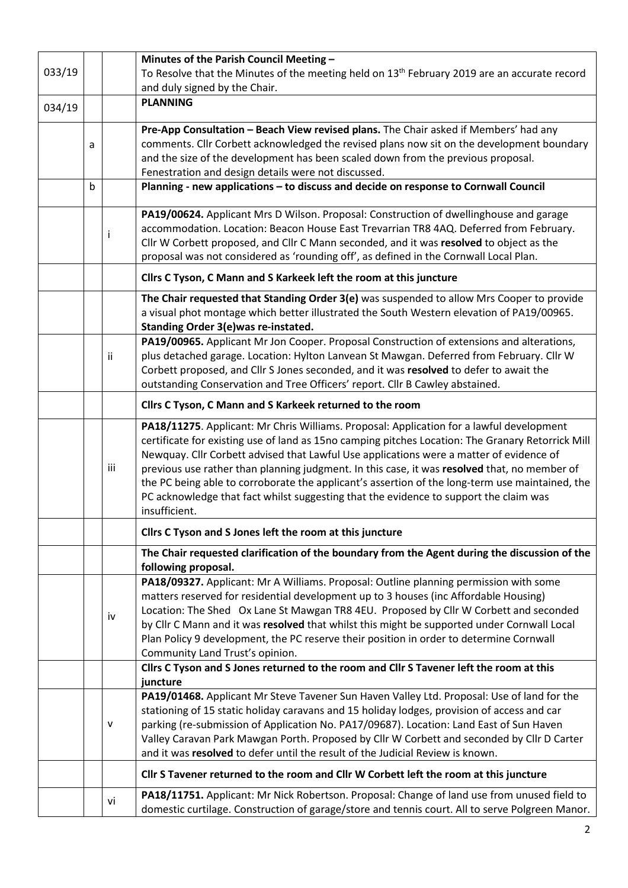|        |             |              | Minutes of the Parish Council Meeting -                                                                              |  |  |  |  |
|--------|-------------|--------------|----------------------------------------------------------------------------------------------------------------------|--|--|--|--|
| 033/19 |             |              | To Resolve that the Minutes of the meeting held on 13 <sup>th</sup> February 2019 are an accurate record             |  |  |  |  |
|        |             |              | and duly signed by the Chair.                                                                                        |  |  |  |  |
| 034/19 |             |              | <b>PLANNING</b>                                                                                                      |  |  |  |  |
|        |             |              |                                                                                                                      |  |  |  |  |
|        |             |              | Pre-App Consultation - Beach View revised plans. The Chair asked if Members' had any                                 |  |  |  |  |
| a      |             |              | comments. Cllr Corbett acknowledged the revised plans now sit on the development boundary                            |  |  |  |  |
|        |             |              | and the size of the development has been scaled down from the previous proposal.                                     |  |  |  |  |
|        |             |              | Fenestration and design details were not discussed.                                                                  |  |  |  |  |
|        | $\mathsf b$ |              | Planning - new applications - to discuss and decide on response to Cornwall Council                                  |  |  |  |  |
|        |             |              | PA19/00624. Applicant Mrs D Wilson. Proposal: Construction of dwellinghouse and garage                               |  |  |  |  |
|        |             | Ť            | accommodation. Location: Beacon House East Trevarrian TR8 4AQ. Deferred from February.                               |  |  |  |  |
|        |             |              | Cllr W Corbett proposed, and Cllr C Mann seconded, and it was resolved to object as the                              |  |  |  |  |
|        |             |              | proposal was not considered as 'rounding off', as defined in the Cornwall Local Plan.                                |  |  |  |  |
|        |             |              | Cllrs C Tyson, C Mann and S Karkeek left the room at this juncture                                                   |  |  |  |  |
|        |             |              | The Chair requested that Standing Order 3(e) was suspended to allow Mrs Cooper to provide                            |  |  |  |  |
|        |             |              | a visual phot montage which better illustrated the South Western elevation of PA19/00965.                            |  |  |  |  |
|        |             |              | Standing Order 3(e) was re-instated.                                                                                 |  |  |  |  |
|        |             |              | PA19/00965. Applicant Mr Jon Cooper. Proposal Construction of extensions and alterations,                            |  |  |  |  |
|        |             | ii           | plus detached garage. Location: Hylton Lanvean St Mawgan. Deferred from February. Cllr W                             |  |  |  |  |
|        |             |              | Corbett proposed, and Cllr S Jones seconded, and it was resolved to defer to await the                               |  |  |  |  |
|        |             |              | outstanding Conservation and Tree Officers' report. Cllr B Cawley abstained.                                         |  |  |  |  |
|        |             |              | Cllrs C Tyson, C Mann and S Karkeek returned to the room                                                             |  |  |  |  |
|        |             |              | PA18/11275. Applicant: Mr Chris Williams. Proposal: Application for a lawful development                             |  |  |  |  |
|        |             |              | certificate for existing use of land as 15no camping pitches Location: The Granary Retorrick Mill                    |  |  |  |  |
|        |             |              | Newquay. Cllr Corbett advised that Lawful Use applications were a matter of evidence of                              |  |  |  |  |
|        |             | iii          | previous use rather than planning judgment. In this case, it was resolved that, no member of                         |  |  |  |  |
|        |             |              | the PC being able to corroborate the applicant's assertion of the long-term use maintained, the                      |  |  |  |  |
|        |             |              | PC acknowledge that fact whilst suggesting that the evidence to support the claim was                                |  |  |  |  |
|        |             |              | insufficient.                                                                                                        |  |  |  |  |
|        |             |              | Cllrs C Tyson and S Jones left the room at this juncture                                                             |  |  |  |  |
|        |             |              | The Chair requested clarification of the boundary from the Agent during the discussion of the<br>following proposal. |  |  |  |  |
|        |             |              | PA18/09327. Applicant: Mr A Williams. Proposal: Outline planning permission with some                                |  |  |  |  |
|        |             |              | matters reserved for residential development up to 3 houses (inc Affordable Housing)                                 |  |  |  |  |
|        |             |              | Location: The Shed Ox Lane St Mawgan TR8 4EU. Proposed by Cllr W Corbett and seconded                                |  |  |  |  |
|        |             | iv           | by Cllr C Mann and it was resolved that whilst this might be supported under Cornwall Local                          |  |  |  |  |
|        |             |              | Plan Policy 9 development, the PC reserve their position in order to determine Cornwall                              |  |  |  |  |
|        |             |              | Community Land Trust's opinion.                                                                                      |  |  |  |  |
|        |             |              | Cllrs C Tyson and S Jones returned to the room and Cllr S Tavener left the room at this                              |  |  |  |  |
|        |             |              | juncture                                                                                                             |  |  |  |  |
|        |             |              | PA19/01468. Applicant Mr Steve Tavener Sun Haven Valley Ltd. Proposal: Use of land for the                           |  |  |  |  |
|        |             | $\mathsf{V}$ | stationing of 15 static holiday caravans and 15 holiday lodges, provision of access and car                          |  |  |  |  |
|        |             |              | parking (re-submission of Application No. PA17/09687). Location: Land East of Sun Haven                              |  |  |  |  |
|        |             |              | Valley Caravan Park Mawgan Porth. Proposed by Cllr W Corbett and seconded by Cllr D Carter                           |  |  |  |  |
|        |             |              | and it was resolved to defer until the result of the Judicial Review is known.                                       |  |  |  |  |
|        |             |              | Cllr S Tavener returned to the room and Cllr W Corbett left the room at this juncture                                |  |  |  |  |
|        |             |              | PA18/11751. Applicant: Mr Nick Robertson. Proposal: Change of land use from unused field to                          |  |  |  |  |
|        |             | vi           | domestic curtilage. Construction of garage/store and tennis court. All to serve Polgreen Manor.                      |  |  |  |  |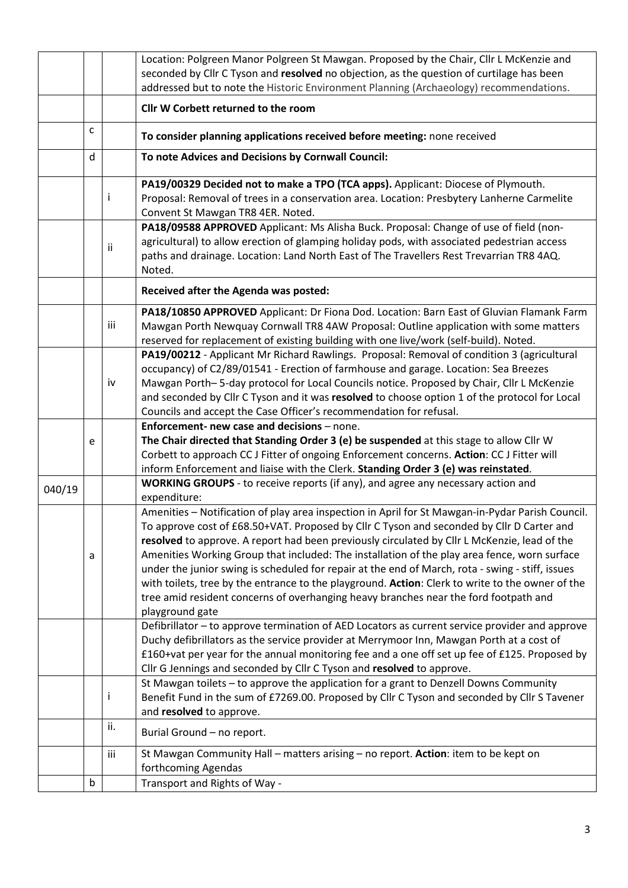|                                       |   |     | Location: Polgreen Manor Polgreen St Mawgan. Proposed by the Chair, Cllr L McKenzie and<br>seconded by Cllr C Tyson and resolved no objection, as the question of curtilage has been                                                                                                                                                                                                                                                                  |  |  |  |  |
|---------------------------------------|---|-----|-------------------------------------------------------------------------------------------------------------------------------------------------------------------------------------------------------------------------------------------------------------------------------------------------------------------------------------------------------------------------------------------------------------------------------------------------------|--|--|--|--|
|                                       |   |     | addressed but to note the Historic Environment Planning (Archaeology) recommendations.                                                                                                                                                                                                                                                                                                                                                                |  |  |  |  |
|                                       |   |     | Cllr W Corbett returned to the room                                                                                                                                                                                                                                                                                                                                                                                                                   |  |  |  |  |
|                                       | C |     | To consider planning applications received before meeting: none received                                                                                                                                                                                                                                                                                                                                                                              |  |  |  |  |
|                                       | d |     | To note Advices and Decisions by Cornwall Council:                                                                                                                                                                                                                                                                                                                                                                                                    |  |  |  |  |
|                                       |   |     | PA19/00329 Decided not to make a TPO (TCA apps). Applicant: Diocese of Plymouth.<br>Proposal: Removal of trees in a conservation area. Location: Presbytery Lanherne Carmelite<br>Convent St Mawgan TR8 4ER. Noted.                                                                                                                                                                                                                                   |  |  |  |  |
|                                       |   | ii  | PA18/09588 APPROVED Applicant: Ms Alisha Buck. Proposal: Change of use of field (non-<br>agricultural) to allow erection of glamping holiday pods, with associated pedestrian access<br>paths and drainage. Location: Land North East of The Travellers Rest Trevarrian TR8 4AQ.<br>Noted.                                                                                                                                                            |  |  |  |  |
| Received after the Agenda was posted: |   |     |                                                                                                                                                                                                                                                                                                                                                                                                                                                       |  |  |  |  |
|                                       |   | iii | PA18/10850 APPROVED Applicant: Dr Fiona Dod. Location: Barn East of Gluvian Flamank Farm<br>Mawgan Porth Newquay Cornwall TR8 4AW Proposal: Outline application with some matters<br>reserved for replacement of existing building with one live/work (self-build). Noted.                                                                                                                                                                            |  |  |  |  |
|                                       |   | iv  | PA19/00212 - Applicant Mr Richard Rawlings. Proposal: Removal of condition 3 (agricultural<br>occupancy) of C2/89/01541 - Erection of farmhouse and garage. Location: Sea Breezes<br>Mawgan Porth-5-day protocol for Local Councils notice. Proposed by Chair, Cllr L McKenzie<br>and seconded by Cllr C Tyson and it was resolved to choose option 1 of the protocol for Local<br>Councils and accept the Case Officer's recommendation for refusal. |  |  |  |  |
|                                       |   |     |                                                                                                                                                                                                                                                                                                                                                                                                                                                       |  |  |  |  |
|                                       |   |     | Enforcement- new case and decisions - none.                                                                                                                                                                                                                                                                                                                                                                                                           |  |  |  |  |
|                                       | e |     | The Chair directed that Standing Order 3 (e) be suspended at this stage to allow Cllr W<br>Corbett to approach CC J Fitter of ongoing Enforcement concerns. Action: CC J Fitter will<br>inform Enforcement and liaise with the Clerk. Standing Order 3 (e) was reinstated.                                                                                                                                                                            |  |  |  |  |
| 040/19                                |   |     | WORKING GROUPS - to receive reports (if any), and agree any necessary action and<br>expenditure:                                                                                                                                                                                                                                                                                                                                                      |  |  |  |  |
|                                       |   |     | Amenities - Notification of play area inspection in April for St Mawgan-in-Pydar Parish Council.<br>To approve cost of £68.50+VAT. Proposed by Cllr C Tyson and seconded by Cllr D Carter and<br>resolved to approve. A report had been previously circulated by Cllr L McKenzie, lead of the                                                                                                                                                         |  |  |  |  |
|                                       | a |     | Amenities Working Group that included: The installation of the play area fence, worn surface<br>under the junior swing is scheduled for repair at the end of March, rota - swing - stiff, issues<br>with toilets, tree by the entrance to the playground. Action: Clerk to write to the owner of the<br>tree amid resident concerns of overhanging heavy branches near the ford footpath and<br>playground gate                                       |  |  |  |  |
|                                       |   |     | Defibrillator - to approve termination of AED Locators as current service provider and approve<br>Duchy defibrillators as the service provider at Merrymoor Inn, Mawgan Porth at a cost of<br>£160+vat per year for the annual monitoring fee and a one off set up fee of £125. Proposed by                                                                                                                                                           |  |  |  |  |
|                                       |   |     | Cllr G Jennings and seconded by Cllr C Tyson and resolved to approve.<br>St Mawgan toilets - to approve the application for a grant to Denzell Downs Community<br>Benefit Fund in the sum of £7269.00. Proposed by Cllr C Tyson and seconded by Cllr S Tavener<br>and resolved to approve.                                                                                                                                                            |  |  |  |  |
|                                       |   | ii. | Burial Ground - no report.                                                                                                                                                                                                                                                                                                                                                                                                                            |  |  |  |  |
|                                       |   | iii | St Mawgan Community Hall - matters arising - no report. Action: item to be kept on<br>forthcoming Agendas                                                                                                                                                                                                                                                                                                                                             |  |  |  |  |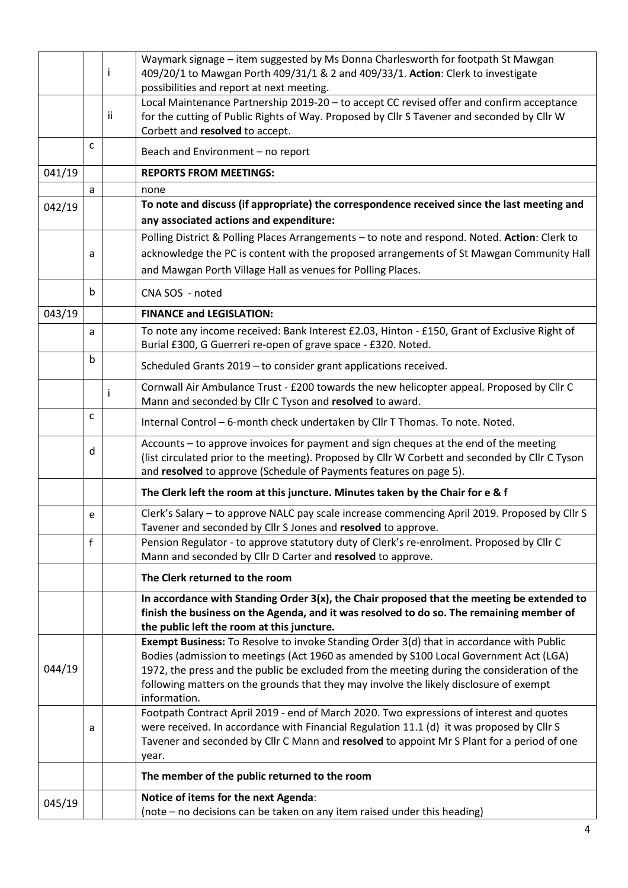|        |                                                                                       |     | Waymark signage - item suggested by Ms Donna Charlesworth for footpath St Mawgan                                                                              |  |  |  |  |
|--------|---------------------------------------------------------------------------------------|-----|---------------------------------------------------------------------------------------------------------------------------------------------------------------|--|--|--|--|
|        |                                                                                       | -1  | 409/20/1 to Mawgan Porth 409/31/1 & 2 and 409/33/1. Action: Clerk to investigate<br>possibilities and report at next meeting.                                 |  |  |  |  |
|        |                                                                                       |     | Local Maintenance Partnership 2019-20 - to accept CC revised offer and confirm acceptance                                                                     |  |  |  |  |
|        |                                                                                       | Ϊİ. | for the cutting of Public Rights of Way. Proposed by Cllr S Tavener and seconded by Cllr W                                                                    |  |  |  |  |
|        |                                                                                       |     | Corbett and resolved to accept.                                                                                                                               |  |  |  |  |
|        | C                                                                                     |     | Beach and Environment - no report                                                                                                                             |  |  |  |  |
| 041/19 |                                                                                       |     | <b>REPORTS FROM MEETINGS:</b>                                                                                                                                 |  |  |  |  |
|        | a                                                                                     |     | none                                                                                                                                                          |  |  |  |  |
| 042/19 |                                                                                       |     | To note and discuss (if appropriate) the correspondence received since the last meeting and                                                                   |  |  |  |  |
|        |                                                                                       |     | any associated actions and expenditure:                                                                                                                       |  |  |  |  |
|        |                                                                                       |     | Polling District & Polling Places Arrangements - to note and respond. Noted. Action: Clerk to                                                                 |  |  |  |  |
|        | a                                                                                     |     | acknowledge the PC is content with the proposed arrangements of St Mawgan Community Hall                                                                      |  |  |  |  |
|        |                                                                                       |     | and Mawgan Porth Village Hall as venues for Polling Places.                                                                                                   |  |  |  |  |
|        | $\mathbf b$                                                                           |     | CNA SOS - noted                                                                                                                                               |  |  |  |  |
| 043/19 |                                                                                       |     | <b>FINANCE and LEGISLATION:</b>                                                                                                                               |  |  |  |  |
|        | a                                                                                     |     | To note any income received: Bank Interest £2.03, Hinton - £150, Grant of Exclusive Right of<br>Burial £300, G Guerreri re-open of grave space - £320. Noted. |  |  |  |  |
|        | $\mathsf b$                                                                           |     | Scheduled Grants 2019 - to consider grant applications received.                                                                                              |  |  |  |  |
|        |                                                                                       |     | Cornwall Air Ambulance Trust - £200 towards the new helicopter appeal. Proposed by Cllr C                                                                     |  |  |  |  |
|        |                                                                                       | i   | Mann and seconded by Cllr C Tyson and resolved to award.                                                                                                      |  |  |  |  |
|        | C                                                                                     |     | Internal Control - 6-month check undertaken by Cllr T Thomas. To note. Noted.                                                                                 |  |  |  |  |
|        |                                                                                       |     | Accounts - to approve invoices for payment and sign cheques at the end of the meeting                                                                         |  |  |  |  |
|        | d                                                                                     |     | (list circulated prior to the meeting). Proposed by Cllr W Corbett and seconded by Cllr C Tyson                                                               |  |  |  |  |
|        |                                                                                       |     | and resolved to approve (Schedule of Payments features on page 5).                                                                                            |  |  |  |  |
|        |                                                                                       |     | The Clerk left the room at this juncture. Minutes taken by the Chair for e & f                                                                                |  |  |  |  |
|        | e                                                                                     |     | Clerk's Salary - to approve NALC pay scale increase commencing April 2019. Proposed by Cllr S                                                                 |  |  |  |  |
|        |                                                                                       |     | Tavener and seconded by Cllr S Jones and resolved to approve.                                                                                                 |  |  |  |  |
|        | $\mathsf{f}$                                                                          |     | Pension Regulator - to approve statutory duty of Clerk's re-enrolment. Proposed by Cllr C<br>Mann and seconded by Cllr D Carter and resolved to approve.      |  |  |  |  |
|        |                                                                                       |     | The Clerk returned to the room                                                                                                                                |  |  |  |  |
|        |                                                                                       |     | In accordance with Standing Order $3(x)$ , the Chair proposed that the meeting be extended to                                                                 |  |  |  |  |
|        |                                                                                       |     | finish the business on the Agenda, and it was resolved to do so. The remaining member of                                                                      |  |  |  |  |
|        |                                                                                       |     | the public left the room at this juncture.                                                                                                                    |  |  |  |  |
|        |                                                                                       |     | Exempt Business: To Resolve to invoke Standing Order 3(d) that in accordance with Public                                                                      |  |  |  |  |
|        | Bodies (admission to meetings (Act 1960 as amended by S100 Local Government Act (LGA) |     |                                                                                                                                                               |  |  |  |  |
| 044/19 |                                                                                       |     | 1972, the press and the public be excluded from the meeting during the consideration of the                                                                   |  |  |  |  |
|        |                                                                                       |     | following matters on the grounds that they may involve the likely disclosure of exempt                                                                        |  |  |  |  |
|        |                                                                                       |     | information.<br>Footpath Contract April 2019 - end of March 2020. Two expressions of interest and quotes                                                      |  |  |  |  |
|        |                                                                                       |     | were received. In accordance with Financial Regulation 11.1 (d) it was proposed by Cllr S                                                                     |  |  |  |  |
|        | a                                                                                     |     | Tavener and seconded by Cllr C Mann and resolved to appoint Mr S Plant for a period of one                                                                    |  |  |  |  |
|        |                                                                                       |     | year.                                                                                                                                                         |  |  |  |  |
|        |                                                                                       |     | The member of the public returned to the room                                                                                                                 |  |  |  |  |
|        |                                                                                       |     | Notice of items for the next Agenda:                                                                                                                          |  |  |  |  |
| 045/19 |                                                                                       |     | (note – no decisions can be taken on any item raised under this heading)                                                                                      |  |  |  |  |